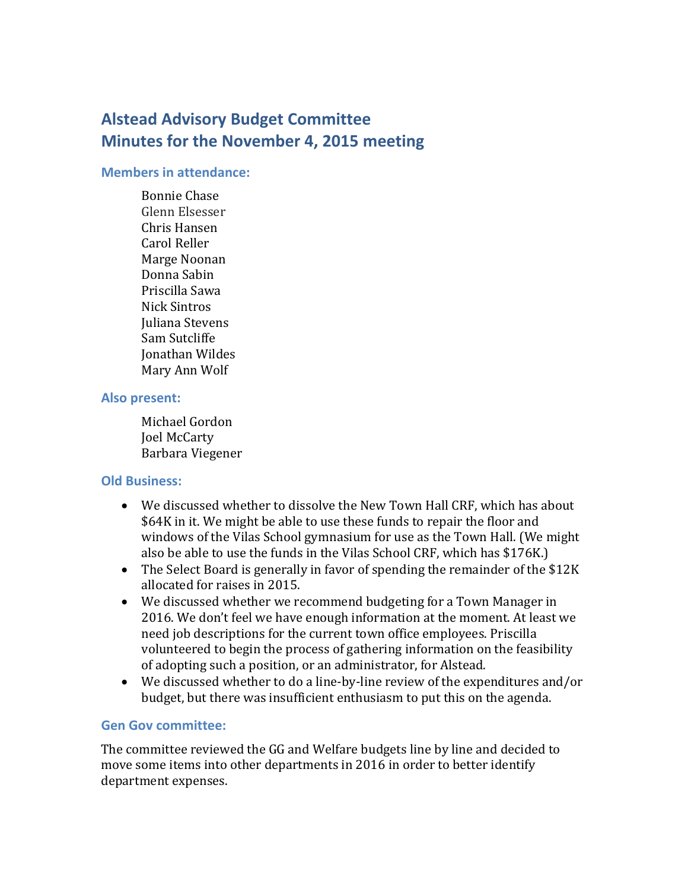# **Alstead Advisory Budget Committee Minutes for the November 4, 2015 meeting**

#### **Members in attendance:**

Bonnie Chase Glenn Elsesser Chris Hansen Carol Reller Marge Noonan Donna Sabin Priscilla Sawa Nick Sintros Juliana Stevens Sam Sutcliffe Jonathan Wildes Mary Ann Wolf

#### **Also present:**

Michael Gordon Joel McCarty Barbara Viegener

#### **Old Business:**

- We discussed whether to dissolve the New Town Hall CRF, which has about \$64K in it. We might be able to use these funds to repair the floor and windows of the Vilas School gymnasium for use as the Town Hall. (We might also be able to use the funds in the Vilas School CRF, which has \$176K.)
- The Select Board is generally in favor of spending the remainder of the \$12K allocated for raises in 2015.
- We discussed whether we recommend budgeting for a Town Manager in 2016. We don't feel we have enough information at the moment. At least we need job descriptions for the current town office employees. Priscilla volunteered to begin the process of gathering information on the feasibility of adopting such a position, or an administrator, for Alstead.
- We discussed whether to do a line-by-line review of the expenditures and/or budget, but there was insufficient enthusiasm to put this on the agenda.

## **Gen Gov committee:**

The committee reviewed the GG and Welfare budgets line by line and decided to move some items into other departments in 2016 in order to better identify department expenses.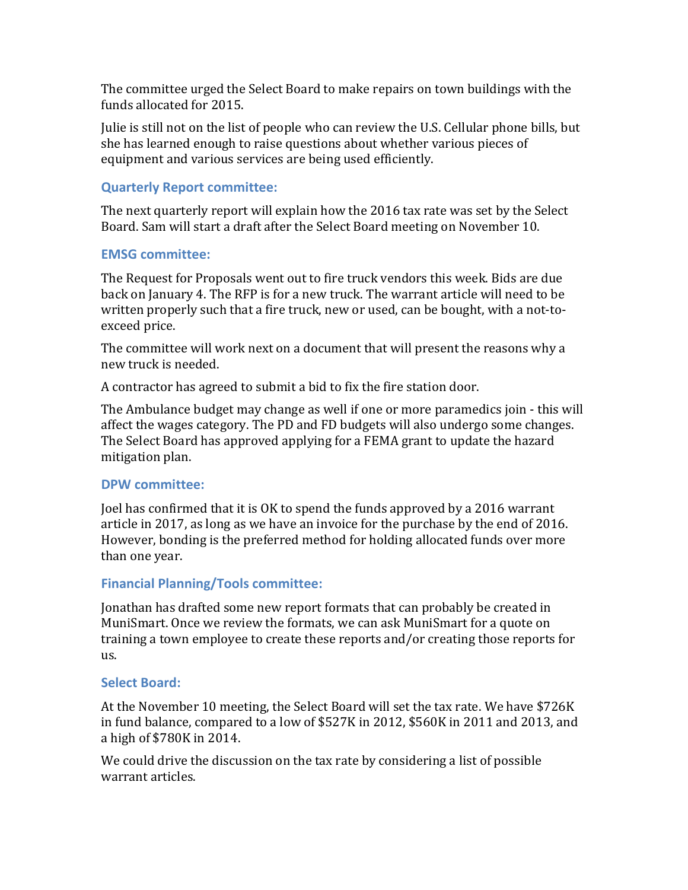The committee urged the Select Board to make repairs on town buildings with the funds allocated for 2015.

Julie is still not on the list of people who can review the U.S. Cellular phone bills, but she has learned enough to raise questions about whether various pieces of equipment and various services are being used efficiently.

## **Quarterly Report committee:**

The next quarterly report will explain how the 2016 tax rate was set by the Select Board. Sam will start a draft after the Select Board meeting on November 10.

## **EMSG committee:**

The Request for Proposals went out to fire truck vendors this week. Bids are due back on January 4. The RFP is for a new truck. The warrant article will need to be written properly such that a fire truck, new or used, can be bought, with a not-toexceed price.

The committee will work next on a document that will present the reasons why a new truck is needed.

A contractor has agreed to submit a bid to fix the fire station door.

The Ambulance budget may change as well if one or more paramedics join - this will affect the wages category. The PD and FD budgets will also undergo some changes. The Select Board has approved applying for a FEMA grant to update the hazard mitigation plan.

## **DPW committee:**

Joel has confirmed that it is OK to spend the funds approved by a 2016 warrant article in 2017, as long as we have an invoice for the purchase by the end of 2016. However, bonding is the preferred method for holding allocated funds over more than one year.

# **Financial Planning/Tools committee:**

Jonathan has drafted some new report formats that can probably be created in MuniSmart. Once we review the formats, we can ask MuniSmart for a quote on training a town employee to create these reports and/or creating those reports for us.

## **Select Board:**

At the November 10 meeting, the Select Board will set the tax rate. We have \$726K in fund balance, compared to a low of \$527K in 2012, \$560K in 2011 and 2013, and a high of \$780K in 2014.

We could drive the discussion on the tax rate by considering a list of possible warrant articles.